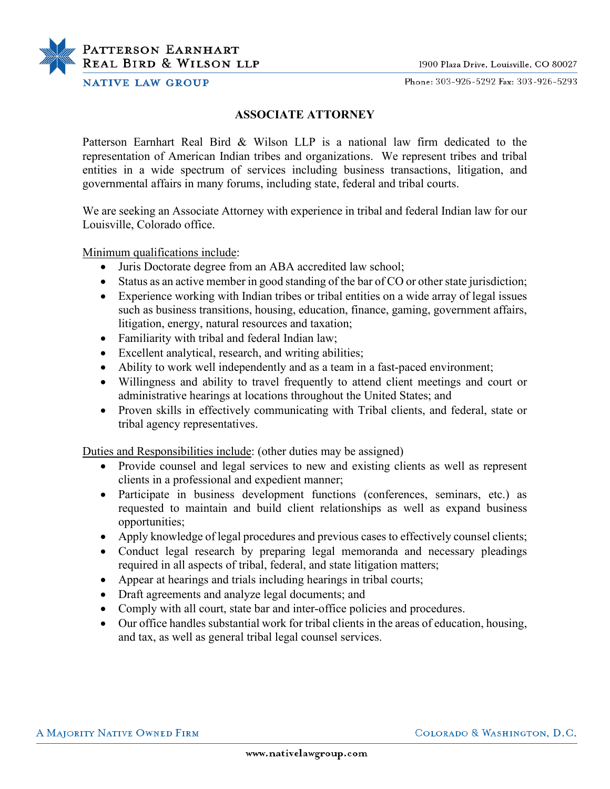

Phone: 303-926-5292 Fax: 303-926-5293

## **NATIVE LAW GROUP**

PATTERSON EARNHART **REAL BIRD & WILSON LLP** 

## **ASSOCIATE ATTORNEY**

Patterson Earnhart Real Bird & Wilson LLP is a national law firm dedicated to the representation of American Indian tribes and organizations. We represent tribes and tribal entities in a wide spectrum of services including business transactions, litigation, and governmental affairs in many forums, including state, federal and tribal courts.

We are seeking an Associate Attorney with experience in tribal and federal Indian law for our Louisville, Colorado office.

Minimum qualifications include:

- Juris Doctorate degree from an ABA accredited law school;
- Status as an active member in good standing of the bar of CO or other state jurisdiction;
- Experience working with Indian tribes or tribal entities on a wide array of legal issues such as business transitions, housing, education, finance, gaming, government affairs, litigation, energy, natural resources and taxation;
- Familiarity with tribal and federal Indian law;
- Excellent analytical, research, and writing abilities;
- Ability to work well independently and as a team in a fast-paced environment;
- Willingness and ability to travel frequently to attend client meetings and court or administrative hearings at locations throughout the United States; and
- Proven skills in effectively communicating with Tribal clients, and federal, state or tribal agency representatives.

Duties and Responsibilities include: (other duties may be assigned)

- Provide counsel and legal services to new and existing clients as well as represent clients in a professional and expedient manner;
- Participate in business development functions (conferences, seminars, etc.) as requested to maintain and build client relationships as well as expand business opportunities;
- Apply knowledge of legal procedures and previous cases to effectively counsel clients;
- Conduct legal research by preparing legal memoranda and necessary pleadings required in all aspects of tribal, federal, and state litigation matters;
- Appear at hearings and trials including hearings in tribal courts;
- Draft agreements and analyze legal documents; and
- Comply with all court, state bar and inter-office policies and procedures.
- Our office handles substantial work for tribal clients in the areas of education, housing, and tax, as well as general tribal legal counsel services.